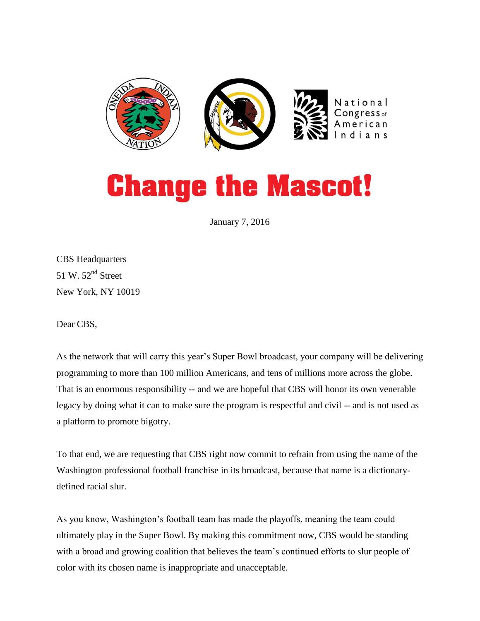

## **Change the Mascot!**

January 7, 2016

CBS Headquarters 51 W.  $52<sup>nd</sup>$  Street New York, NY 10019

Dear CBS,

As the network that will carry this year's Super Bowl broadcast, your company will be delivering programming to more than 100 million Americans, and tens of millions more across the globe. That is an enormous responsibility -- and we are hopeful that CBS will honor its own venerable legacy by doing what it can to make sure the program is respectful and civil -- and is not used as a platform to promote bigotry.

To that end, we are requesting that CBS right now commit to refrain from using the name of the Washington professional football franchise in its broadcast, because that name is a dictionarydefined racial slur.

As you know, Washington's football team has made the playoffs, meaning the team could ultimately play in the Super Bowl. By making this commitment now, CBS would be standing with a broad and growing coalition that believes the team's continued efforts to slur people of color with its chosen name is inappropriate and unacceptable.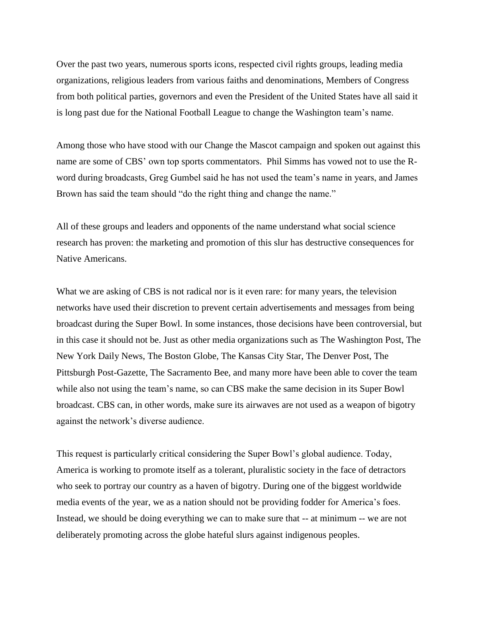Over the past two years, numerous sports icons, respected civil rights groups, leading media organizations, religious leaders from various faiths and denominations, Members of Congress from both political parties, governors and even the President of the United States have all said it is long past due for the National Football League to change the Washington team's name.

Among those who have stood with our Change the Mascot campaign and spoken out against this name are some of CBS' own top sports commentators. Phil Simms has vowed not to use the Rword during broadcasts, Greg Gumbel said he has not used the team's name in years, and James Brown has said the team should "do the right thing and change the name."

All of these groups and leaders and opponents of the name understand what social science research has proven: the marketing and promotion of this slur has destructive consequences for Native Americans.

What we are asking of CBS is not radical nor is it even rare: for many years, the television networks have used their discretion to prevent certain advertisements and messages from being broadcast during the Super Bowl. In some instances, those decisions have been controversial, but in this case it should not be. Just as other media organizations such as The Washington Post, The New York Daily News, The Boston Globe, The Kansas City Star, The Denver Post, The Pittsburgh Post-Gazette, The Sacramento Bee, and many more have been able to cover the team while also not using the team's name, so can CBS make the same decision in its Super Bowl broadcast. CBS can, in other words, make sure its airwaves are not used as a weapon of bigotry against the network's diverse audience.

This request is particularly critical considering the Super Bowl's global audience. Today, America is working to promote itself as a tolerant, pluralistic society in the face of detractors who seek to portray our country as a haven of bigotry. During one of the biggest worldwide media events of the year, we as a nation should not be providing fodder for America's foes. Instead, we should be doing everything we can to make sure that -- at minimum -- we are not deliberately promoting across the globe hateful slurs against indigenous peoples.